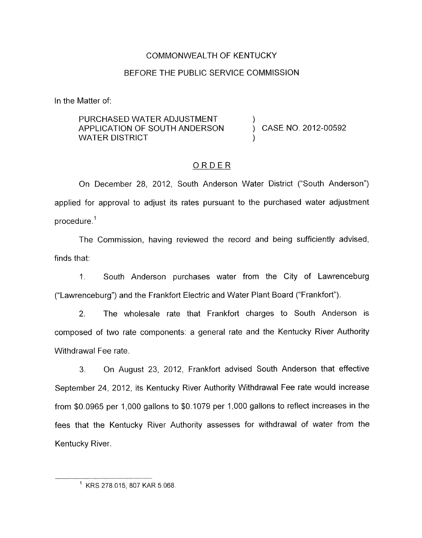## COMMONWEALTH OF KENTUCKY

## BEFORE THE PUBLIC SERVICE COMMISSION

In the Matter of:

## PURCHASED WATER ADJUSTMENT WATER DISTRICT APPLICATION OF SOUTH ANDERSON  $\overrightarrow{)}$  CASE NO. 2012-00592

## ORDER

On December 28, 2012, South Anderson Water District ("South Anderson") applied for approval to adjust its rates pursuant to the purchased water adjustment procedure. '

The Commission, having reviewed the record and being sufficiently advised, finds that:

1. South Anderson purchases water from the City of Lawrenceburg ("Lawrenceburg") and the Frankfort Electric and Water Plant Board ("Frankfort").

2. The wholesale rate that Frankfort charges to South Anderson is composed of two rate components: a general rate and the Kentucky River Authority Withdrawal Fee rate.

3. On August 23, 2012, Frankfort advised South Anderson that effective September 24, 2012, its Kentucky River Authority Withdrawal Fee rate would increase from \$0.0965 per 1,000 gallons to \$0.1079 per 1,000 gallons to reflect increases in the fees that the Kentucky River Authority assesses for withdrawal of water from the Kentucky River.

<sup>&#</sup>x27; KRS 278 015.807 KAR 5.068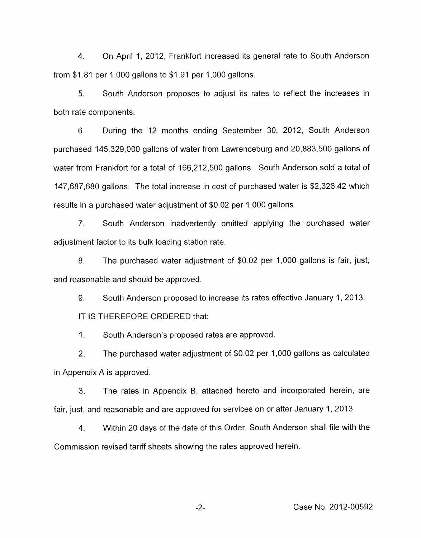4. On April 1, 2012, Frankfort increased its general rate to South Anderson from \$1.81 per 1,000 gallons to \$1.91 per 1,000 gallons.

*5.* South Anderson proposes to adjust its rates to reflect the increases in both rate components.

6. During the 12 months ending September 30, 2012, South Anderson purchased 145,329,000 gallons of water from Lawrenceburg and 20,883,500 gallons of water from Frankfort for a total of 166,212,500 gallons. South Anderson sold a total of 147,687,680 gallons. The total increase in cost of purchased water is \$2,326.42 which results in a purchased water adjustment of \$0.02 per 1,000 gallons.

7. South Anderson inadvertently omitted applying the purchased water adjustment factor to its bulk loading station rate.

8. The purchased water adjustment of \$0.02 per 1,000 gallons is fair, just, and reasonable and should be approved.

9. South Anderson proposed to increase its rates effective January 1, 2013.

IT IS THEREFORE ORDERED that:

1. South Anderson's proposed rates are approved.

2. The purchased water adjustment of \$0.02 per I, 00 gallons as calculated in Appendix A is approved.

**3.** The rates in Appendix B, attached hereto and incorporated herein, are fair, just, and reasonable and are approved for services on or after January 1, 2013.

4. Within 20 days of the date of this Order, South Anderson shall file with the Commission revised tariff sheets showing the rates approved herein.

-2- Case No. 2012-00592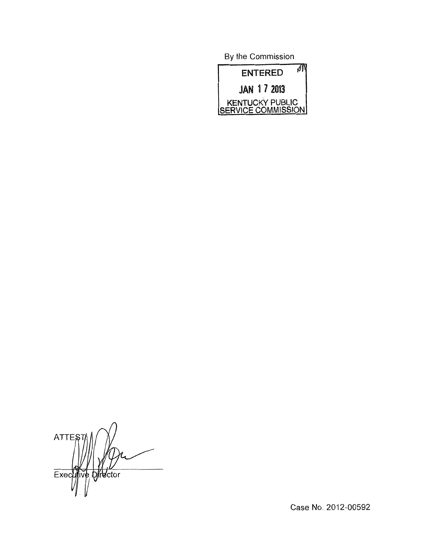By the Commission



**ATTES** Director Exec

Case No. 2012-00592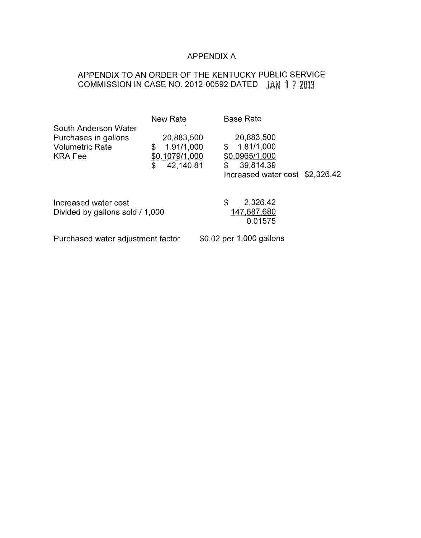## APPENDIX A

# APPENDIX TO AN ORDER OF THE KENTUCKY PUBLIC SERVICE COMMISSION IN CASE NO. 2012-00592 DATED JAN 17 2013

| South Anderson Water                                             | New Rate                                                           | <b>Base Rate</b>                                                                                       |  |
|------------------------------------------------------------------|--------------------------------------------------------------------|--------------------------------------------------------------------------------------------------------|--|
| Purchases in gallons<br><b>Volumetric Rate</b><br><b>KRA Fee</b> | 20,883,500<br>1.91/1,000<br>\$<br>\$0.1079/1,000<br>42,140.81<br>S | 20,883,500<br>1.81/1,000<br>\$<br>\$0.0965/1,000<br>39,814.39<br>\$<br>Increased water cost \$2,326.42 |  |
| Increased water cost<br>Divided by gallons sold / 1,000          |                                                                    | 2,326.42<br>\$<br>147,687,680<br>0.01575                                                               |  |
| Durchoood water adjustmant factor                                |                                                                    |                                                                                                        |  |

Purchased water adjustment factor \$0.02 per 1,000 gallons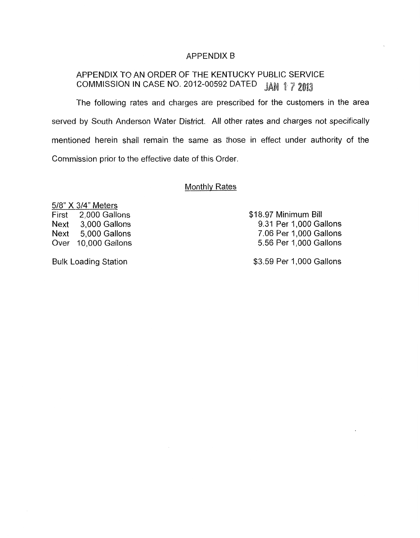#### APPENDIX B

# APPENDIX TO AN ORDER OF THE KENTUCKY PUBLIC SERVICE COMMISSION IN CASE NO. 2012-00592 DATED JAN 17 2013

The following rates and charges are prescribed for the customers in the area served by South Anderson Water District. All other rates and charges not specifically mentioned herein shall remain the same as those in effect under authority of the Commission prior to the effective date of this Order.

### Monthlv Rates

518" X 314" Meters First 2,000 Gallons Next 3,000 Gallons Next 5,000 Gallons Over 10,000 Gallons

\$18.97 Minimum Bill 9.31 Per 1,000 Gallons 7.06 Per 1,000 Gallons 5.56 Per 1,000 Gallons

Bulk Loading Station  $$3.59$  Per 1,000 Gallons